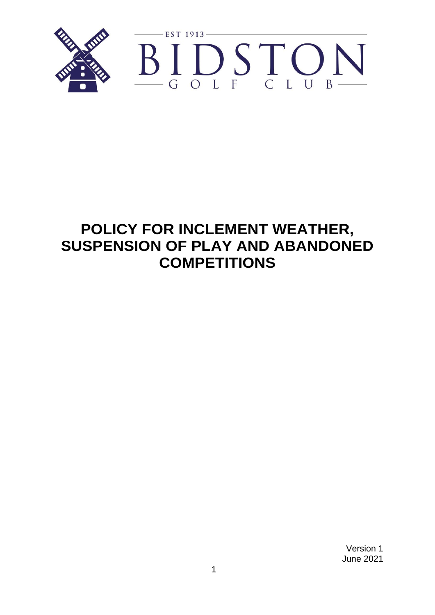

# **POLICY FOR INCLEMENT WEATHER, SUSPENSION OF PLAY AND ABANDONED COMPETITIONS**

Version 1 June 2021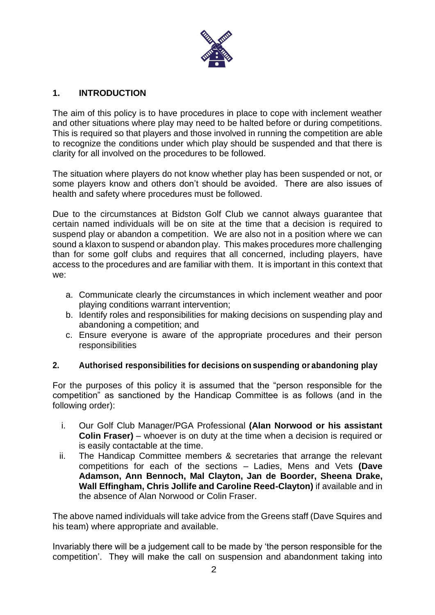

## **1. INTRODUCTION**

The aim of this policy is to have procedures in place to cope with inclement weather and other situations where play may need to be halted before or during competitions. This is required so that players and those involved in running the competition are able to recognize the conditions under which play should be suspended and that there is clarity for all involved on the procedures to be followed.

The situation where players do not know whether play has been suspended or not, or some players know and others don't should be avoided. There are also issues of health and safety where procedures must be followed.

Due to the circumstances at Bidston Golf Club we cannot always guarantee that certain named individuals will be on site at the time that a decision is required to suspend play or abandon a competition. We are also not in a position where we can sound a klaxon to suspend or abandon play. This makes procedures more challenging than for some golf clubs and requires that all concerned, including players, have access to the procedures and are familiar with them. It is important in this context that we:

- a. Communicate clearly the circumstances in which inclement weather and poor playing conditions warrant intervention;
- b. Identify roles and responsibilities for making decisions on suspending play and abandoning a competition; and
- c. Ensure everyone is aware of the appropriate procedures and their person responsibilities

#### **2. Authorised responsibilities for decisions on suspending or abandoning play**

For the purposes of this policy it is assumed that the "person responsible for the competition" as sanctioned by the Handicap Committee is as follows (and in the following order):

- i. Our Golf Club Manager/PGA Professional **(Alan Norwood or his assistant Colin Fraser)** – whoever is on duty at the time when a decision is required or is easily contactable at the time.
- ii. The Handicap Committee members & secretaries that arrange the relevant competitions for each of the sections – Ladies, Mens and Vets **(Dave Adamson, Ann Bennoch, Mal Clayton, Jan de Boorder, Sheena Drake, Wall Effingham, Chris Jollife and Caroline Reed-Clayton)** if available and in the absence of Alan Norwood or Colin Fraser.

The above named individuals will take advice from the Greens staff (Dave Squires and his team) where appropriate and available.

Invariably there will be a judgement call to be made by 'the person responsible for the competition'. They will make the call on suspension and abandonment taking into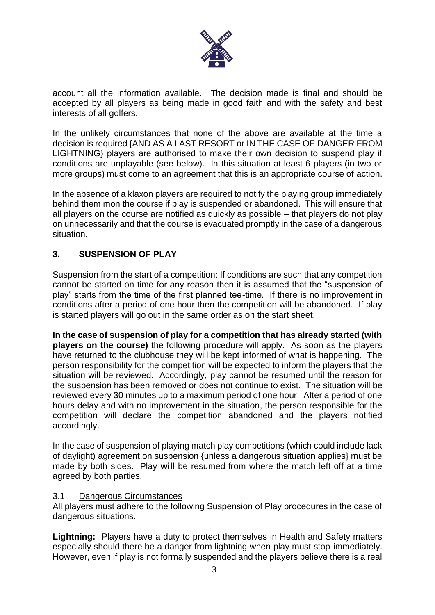

account all the information available. The decision made is final and should be accepted by all players as being made in good faith and with the safety and best interests of all golfers.

In the unlikely circumstances that none of the above are available at the time a decision is required {AND AS A LAST RESORT or IN THE CASE OF DANGER FROM LIGHTNING} players are authorised to make their own decision to suspend play if conditions are unplayable (see below). In this situation at least 6 players (in two or more groups) must come to an agreement that this is an appropriate course of action.

In the absence of a klaxon players are required to notify the playing group immediately behind them mon the course if play is suspended or abandoned. This will ensure that all players on the course are notified as quickly as possible – that players do not play on unnecessarily and that the course is evacuated promptly in the case of a dangerous situation.

### **3. SUSPENSION OF PLAY**

Suspension from the start of a competition: If conditions are such that any competition cannot be started on time for any reason then it is assumed that the "suspension of play" starts from the time of the first planned tee-time. If there is no improvement in conditions after a period of one hour then the competition will be abandoned. If play is started players will go out in the same order as on the start sheet.

**In the case of suspension of play for a competition that has already started (with players on the course)** the following procedure will apply. As soon as the players have returned to the clubhouse they will be kept informed of what is happening. The person responsibility for the competition will be expected to inform the players that the situation will be reviewed. Accordingly, play cannot be resumed until the reason for the suspension has been removed or does not continue to exist. The situation will be reviewed every 30 minutes up to a maximum period of one hour. After a period of one hours delay and with no improvement in the situation, the person responsible for the competition will declare the competition abandoned and the players notified accordingly.

In the case of suspension of playing match play competitions (which could include lack of daylight) agreement on suspension {unless a dangerous situation applies} must be made by both sides. Play **will** be resumed from where the match left off at a time agreed by both parties.

#### 3.1 Dangerous Circumstances

All players must adhere to the following Suspension of Play procedures in the case of dangerous situations.

**Lightning:** Players have a duty to protect themselves in Health and Safety matters especially should there be a danger from lightning when play must stop immediately. However, even if play is not formally suspended and the players believe there is a real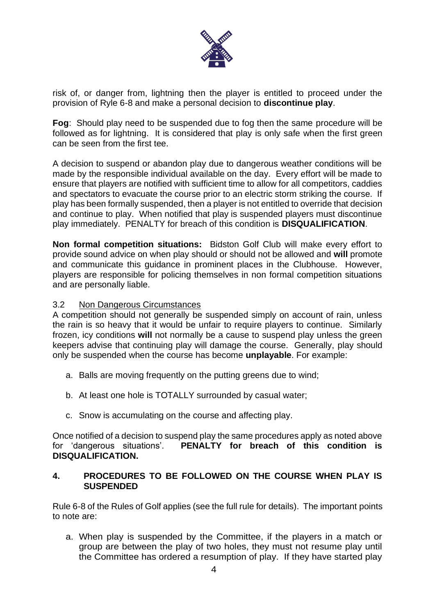

risk of, or danger from, lightning then the player is entitled to proceed under the provision of Ryle 6-8 and make a personal decision to **discontinue play**.

**Fog**: Should play need to be suspended due to fog then the same procedure will be followed as for lightning. It is considered that play is only safe when the first green can be seen from the first tee.

A decision to suspend or abandon play due to dangerous weather conditions will be made by the responsible individual available on the day. Every effort will be made to ensure that players are notified with sufficient time to allow for all competitors, caddies and spectators to evacuate the course prior to an electric storm striking the course. If play has been formally suspended, then a player is not entitled to override that decision and continue to play. When notified that play is suspended players must discontinue play immediately. PENALTY for breach of this condition is **DISQUALIFICATION**.

**Non formal competition situations:** Bidston Golf Club will make every effort to provide sound advice on when play should or should not be allowed and **will** promote and communicate this guidance in prominent places in the Clubhouse. However, players are responsible for policing themselves in non formal competition situations and are personally liable.

#### 3.2 Non Dangerous Circumstances

A competition should not generally be suspended simply on account of rain, unless the rain is so heavy that it would be unfair to require players to continue. Similarly frozen, icy conditions **will** not normally be a cause to suspend play unless the green keepers advise that continuing play will damage the course. Generally, play should only be suspended when the course has become **unplayable**. For example:

- a. Balls are moving frequently on the putting greens due to wind;
- b. At least one hole is TOTALLY surrounded by casual water;
- c. Snow is accumulating on the course and affecting play.

Once notified of a decision to suspend play the same procedures apply as noted above for 'dangerous situations'. **PENALTY for breach of this condition is DISQUALIFICATION.**

#### **4. PROCEDURES TO BE FOLLOWED ON THE COURSE WHEN PLAY IS SUSPENDED**

Rule 6-8 of the Rules of Golf applies (see the full rule for details). The important points to note are:

a. When play is suspended by the Committee, if the players in a match or group are between the play of two holes, they must not resume play until the Committee has ordered a resumption of play. If they have started play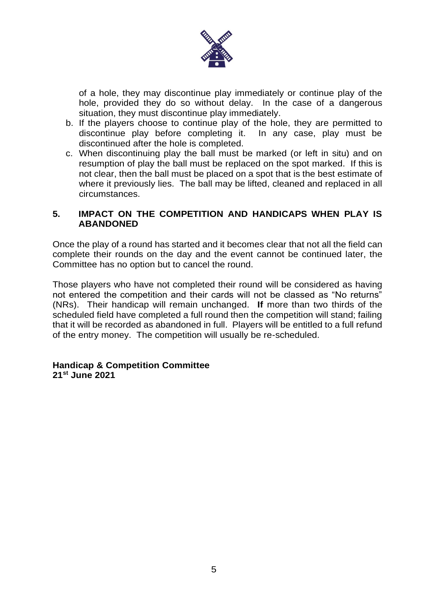

of a hole, they may discontinue play immediately or continue play of the hole, provided they do so without delay. In the case of a dangerous situation, they must discontinue play immediately.

- b. If the players choose to continue play of the hole, they are permitted to discontinue play before completing it. In any case, play must be discontinued after the hole is completed.
- c. When discontinuing play the ball must be marked (or left in situ) and on resumption of play the ball must be replaced on the spot marked. If this is not clear, then the ball must be placed on a spot that is the best estimate of where it previously lies. The ball may be lifted, cleaned and replaced in all circumstances.

#### **5. IMPACT ON THE COMPETITION AND HANDICAPS WHEN PLAY IS ABANDONED**

Once the play of a round has started and it becomes clear that not all the field can complete their rounds on the day and the event cannot be continued later, the Committee has no option but to cancel the round.

Those players who have not completed their round will be considered as having not entered the competition and their cards will not be classed as "No returns" (NRs). Their handicap will remain unchanged. **If** more than two thirds of the scheduled field have completed a full round then the competition will stand; failing that it will be recorded as abandoned in full. Players will be entitled to a full refund of the entry money. The competition will usually be re-scheduled.

**Handicap & Competition Committee 21st June 2021**